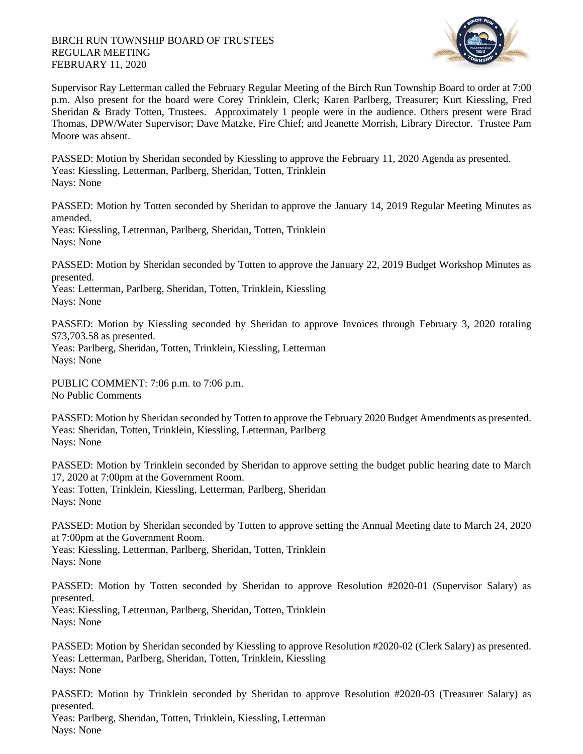## BIRCH RUN TOWNSHIP BOARD OF TRUSTEES REGULAR MEETING FEBRUARY 11, 2020



Supervisor Ray Letterman called the February Regular Meeting of the Birch Run Township Board to order at 7:00 p.m. Also present for the board were Corey Trinklein, Clerk; Karen Parlberg, Treasurer; Kurt Kiessling, Fred Sheridan & Brady Totten, Trustees. Approximately 1 people were in the audience. Others present were Brad Thomas, DPW/Water Supervisor; Dave Matzke, Fire Chief; and Jeanette Morrish, Library Director. Trustee Pam Moore was absent.

PASSED: Motion by Sheridan seconded by Kiessling to approve the February 11, 2020 Agenda as presented. Yeas: Kiessling, Letterman, Parlberg, Sheridan, Totten, Trinklein Nays: None

PASSED: Motion by Totten seconded by Sheridan to approve the January 14, 2019 Regular Meeting Minutes as amended.

Yeas: Kiessling, Letterman, Parlberg, Sheridan, Totten, Trinklein Nays: None

PASSED: Motion by Sheridan seconded by Totten to approve the January 22, 2019 Budget Workshop Minutes as presented.

Yeas: Letterman, Parlberg, Sheridan, Totten, Trinklein, Kiessling Nays: None

PASSED: Motion by Kiessling seconded by Sheridan to approve Invoices through February 3, 2020 totaling \$73,703.58 as presented.

Yeas: Parlberg, Sheridan, Totten, Trinklein, Kiessling, Letterman Nays: None

PUBLIC COMMENT: 7:06 p.m. to 7:06 p.m. No Public Comments

PASSED: Motion by Sheridan seconded by Totten to approve the February 2020 Budget Amendments as presented. Yeas: Sheridan, Totten, Trinklein, Kiessling, Letterman, Parlberg Nays: None

PASSED: Motion by Trinklein seconded by Sheridan to approve setting the budget public hearing date to March 17, 2020 at 7:00pm at the Government Room. Yeas: Totten, Trinklein, Kiessling, Letterman, Parlberg, Sheridan Nays: None

PASSED: Motion by Sheridan seconded by Totten to approve setting the Annual Meeting date to March 24, 2020 at 7:00pm at the Government Room.

Yeas: Kiessling, Letterman, Parlberg, Sheridan, Totten, Trinklein Nays: None

PASSED: Motion by Totten seconded by Sheridan to approve Resolution #2020-01 (Supervisor Salary) as presented.

Yeas: Kiessling, Letterman, Parlberg, Sheridan, Totten, Trinklein Nays: None

PASSED: Motion by Sheridan seconded by Kiessling to approve Resolution #2020-02 (Clerk Salary) as presented. Yeas: Letterman, Parlberg, Sheridan, Totten, Trinklein, Kiessling Nays: None

PASSED: Motion by Trinklein seconded by Sheridan to approve Resolution #2020-03 (Treasurer Salary) as presented.

Yeas: Parlberg, Sheridan, Totten, Trinklein, Kiessling, Letterman Nays: None